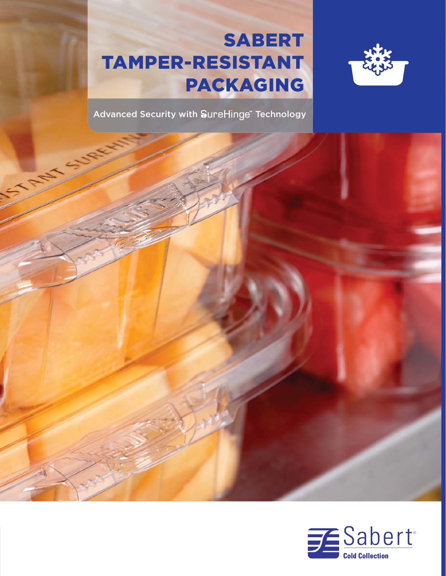# SABERT TAMPER-RESISTANT PACKAGING



Advanced Security with SureHinge" Technology



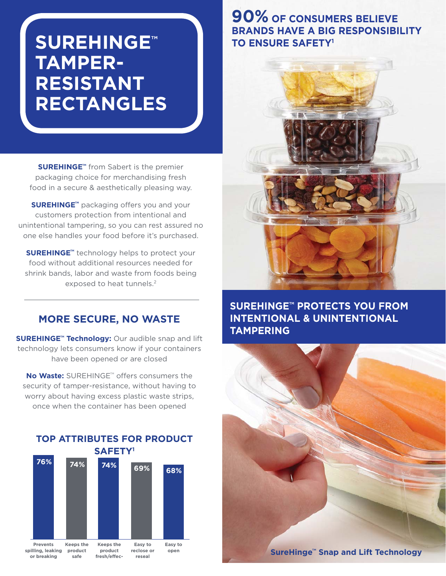# **SUREHINGE<sup>®</sup> TAMPER-RESISTANT RECTANGLES**

**SUREHINGE<sup>™</sup> from Sabert is the premier** packaging choice for merchandising fresh food in a secure & aesthetically pleasing way.

**SUREHINGE™** packaging offers you and your customers protection from intentional and unintentional tampering, so you can rest assured no one else handles your food before it's purchased.

**SUREHINGE™** technology helps to protect your food without additional resources needed for shrink bands, labor and waste from foods being exposed to heat tunnels.<sup>2</sup>

#### **MORE SECURE, NO WASTE**

**SUREHINGE<sup>™</sup> Technology:** Our audible snap and lift technology lets consumers know if your containers have been opened or are closed

**No Waste:** SUREHINGE™ offers consumers the security of tamper-resistance, without having to worry about having excess plastic waste strips, once when the container has been opened



# **90% OF CONSUMERS BELIEVE BRANDS HAVE A BIG RESPONSIBILITY TO ENSURE SAFETY1**



### **SUREHINGE™ PROTECTS YOU FROM INTENTIONAL & UNINTENTIONAL TAMPERING**

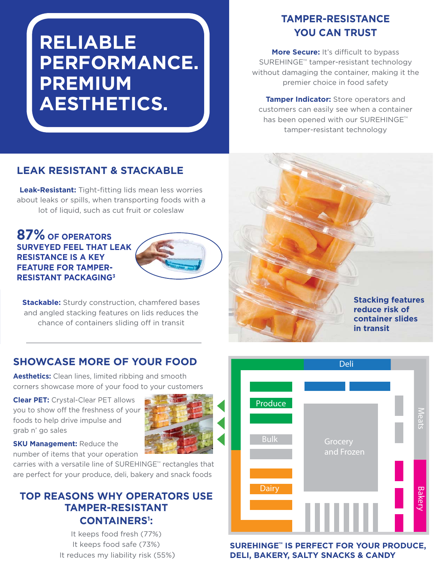# **RELIABLE PERFORMANCE. PREMIUM AESTHETICS.**

## **TAMPER-RESISTANCE YOU CAN TRUST**

**More Secure:** It's difficult to bypass SUREHINGE<sup>™</sup> tamper-resistant technology without damaging the container, making it the premier choice in food safety

**Tamper Indicator:** Store operators and customers can easily see when a container has been opened with our SUREHINGE™ tamper-resistant technology

### **LEAK RESISTANT & STACKABLE**

**Leak-Resistant:** Tight-fitting lids mean less worries about leaks or spills, when transporting foods with a lot of liquid, such as cut fruit or coleslaw

#### **87% OF OPERATORS SURVEYED FEEL THAT LEAK RESISTANCE IS A KEY FEATURE FOR TAMPER-RESISTANT PACKAGING3**



**Stackable:** Sturdy construction, chamfered bases and angled stacking features on lids reduces the chance of containers sliding off in transit

#### **SHOWCASE MORE OF YOUR FOOD**

**Aesthetics:** Clean lines, limited ribbing and smooth corners showcase more of your food to your customers

**Clear PET:** Crystal-Clear PET allows you to show off the freshness of your foods to help drive impulse and grab n' go sales



**SKU Management: Reduce the** number of items that your operation

carries with a versatile line of SUREHINGE™ rectangles that are perfect for your produce, deli, bakery and snack foods

### **TOP REASONS WHY OPERATORS USE TAMPER-RESISTANT CONTAINERS1 :**

It keeps food fresh (77%) It keeps food safe (73%) It reduces my liability risk (55%)



**SUREHINGE<sup>™</sup> IS PERFECT FOR YOUR PRODUCE, DELI, BAKERY, SALTY SNACKS & CANDY** 

**Stacking features reduce risk of container slides in transit**